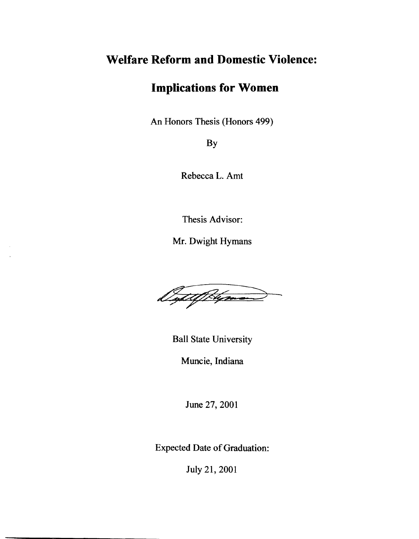# **Welfare Reform and Domestic Violence:**

## **Implications for Women**

An Honors Thesis (Honors 499)

By

Rebecca L. Amt

Thesis Advisor:

Mr. Dwight Hymans

lytet f blejman

Ball State University

Muncie, Indiana

June 27, 2001

Expected Date of Graduation:

July 21,2001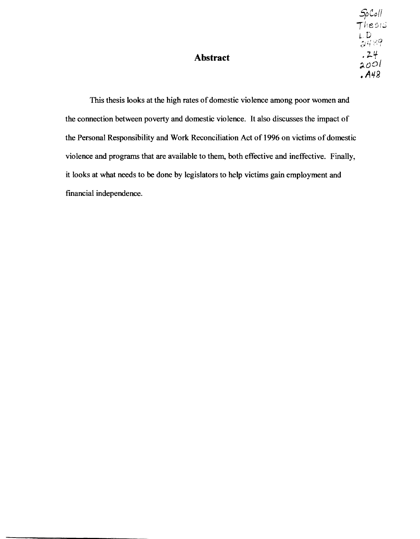### **Abstract**

This thesis looks at the high rates of domestic violence among poor women and the connection between poverty and domestic violence. It also discusses the impact of the Personal Responsibility and Work Reconciliation Act of 1996 on victims of domestic violence and programs that are available to them, both effective and ineffective. Finally, it looks at what needs to be done by legislators to help victims gain employment and financial independence.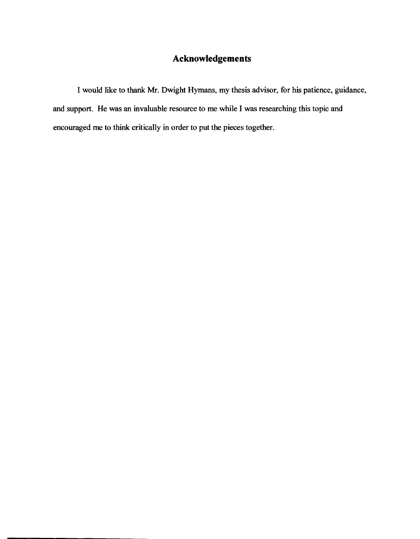### **Acknowledgements**

I would like to thank Mr. Dwight Hymans, my thesis advisor, for his patience, guidance, and support. He was an invaluable resource to me while I was researching this topic and encouraged me to think critically in order to put the pieces together.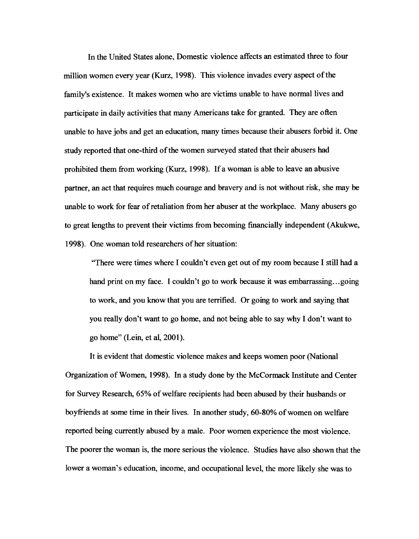In the United States alone, Domestic violence affects an estimated three to four million women every year (Kurz, 1998). This violence invades every aspect of the family's existence. It makes women who are victims unable to have normal lives and participate in daily activities that many Americans take for granted. They are often unable to have jobs and get an education, many times because their abusers forbid it. One study reported that one-third of the women surveyed stated that their abusers had prohibited them from working (Kurz, 1998). If a woman is able to leave an abusive partner, an act that requires much courage and bravery and is not without risk, she may be unable to work for fear of retaliation from her abuser at the workplace. Many abusers go to great lengths to prevent their victims from becoming financially independent (Akukwe, 1998). One woman told researchers of her situation:

"There were times where I couldn't even get out of my room because I still had a hand print on my face. I couldn't go to work because it was embarrassing...going to work, and you know that you are terrified. Or going to work and saying that you really don't want to go home, and not being able to say why I don't want to go home" (Lein, et al, 2001).

It is evident that domestic violence makes and keeps women poor (National Organization of Women, 1998). In a study done by the McCormack Institute and Center for Survey Research, 65% of welfare recipients had been abused by their husbands or boyfriends at some time in their lives. In another study, 60-80% of women on welfare reported being currently abused by a male. Poor women experience the most violence. The poorer the woman is, the more serious the violence. Studies have also shown that the lower a woman's education, income, and occupational level, the more likely she was to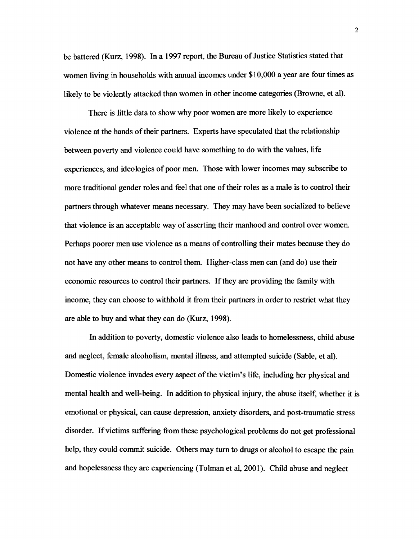be battered (Kurz, 1998). In a 1997 report, the Bureau of Justice Statistics stated that women living in households with annual incomes under \$10,000 a year are four times as likely to be violently attacked than women in other income categories (Browne, et al).

There is little data to show why poor women are more likely to experience violence at the hands of their partners. Experts have speculated that the relationship between poverty and violence could have something to do with the values, life experiences, and ideologies of poor men. Those with lower incomes may subscribe to more traditional gender roles and feel that one of their roles as a male is to control their partners through whatever means necessary. They may have been socialized to believe that violence is an acceptable way of asserting their manhood and control over women. Perhaps poorer men use violence as a means of controlling their mates because they do not have any other means to control them. Higher-class men can (and do) use their economic resources to control their partners. If they are providing the family with income, they can choose to withhold it from their partners in order to restrict what they are able to buy and what they can do (Kurz, 1998).

In addition to poverty, domestic violence also leads to homelessness, child abuse and neglect, female alcoholism, mental illness, and attempted suicide (Sable, et al). Domestic violence invades every aspect of the victim's life, including her physical and mental health and well-being. In addition to physical injury, the abuse itself, whether it is emotional or physical, can cause depression, anxiety disorders, and post-traumatic stress disorder. If victims suffering from these psychological problems do not get professional help, they could commit suicide. Others may turn to drugs or alcohol to escape the pain and hopelessness they are experiencing (Tolman et ai, 2001). Child abuse and neglect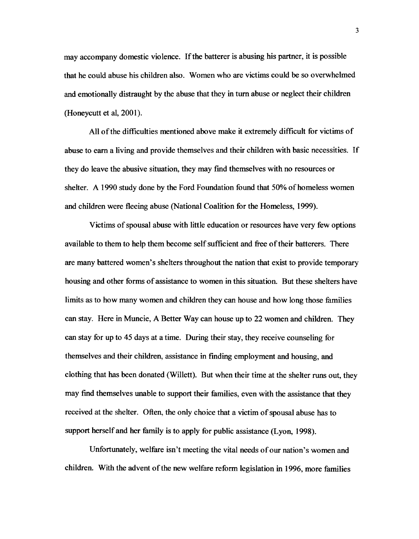may accompany domestic violence. If the batterer is abusing his partner, it is possible that he could abuse his children also. Women who are victims could be so overwhelmed and emotionally distraught by the abuse that they in turn abuse or neglect their children (Honeycutt et aI, 2001).

All of the difficulties mentioned above make it extremely difficult for victims of abuse to earn a living and provide themselves and their children with basic necessities. If they do leave the abusive situation, they may fmd themselves with no resources or shelter. A 1990 study done by the Ford Foundation found that 50% of homeless women and children were fleeing abuse (National Coalition for the Homeless, 1999).

Victims of spousal abuse with little education or resources have very few options available to them to help them become self sufficient and free of their batterers. There are many battered women's shelters throughout the nation that exist to provide temporary housing and other forms of assistance to women in this situation. But these shelters have limits as to how many women and children they can house and how long those families can stay. Here in Muncie, A Better Way can house up to 22 women and children. They can stay for up to 45 days at a time. During their stay, they receive counseling for themselves and their children, assistance in fmding employment and housing, and clothing that has been donated (Willett). But when their time at the shelter runs out, they may find themselves unable to support their families, even with the assistance that they received at the shelter. Often, the only choice that a victim of spousal abuse has to support herself and her family is to apply for public assistance (Lyon, 1998).

Unfortunately, welfare isn't meeting the vital needs of our nation's women and children. With the advent of the new welfare reform legislation in 1996, more families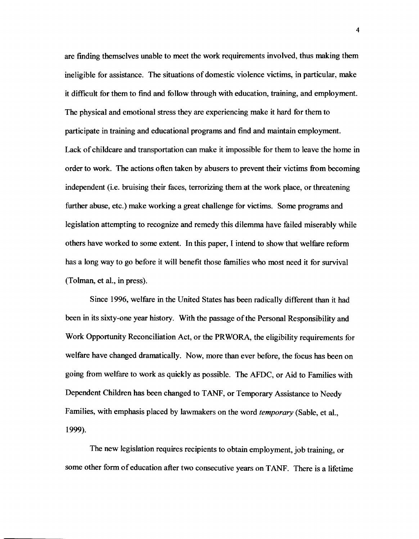are finding themselves unable to meet the work requirements involved. thus making them ineligible for assistance. The situations of domestic violence victims, in particular, make it difficult for them to find and follow through with education, training, and employment. The physical and emotional stress they are experiencing make it hard for them to participate in training and educational programs and find and maintain employment. Lack of childcare and transportation can make it impossible for them to leave the home in order to work. The actions often taken by abusers to prevent their victims from becoming independent (i.e. bruising their faces, terrorizing them at the work place, or threatening further abuse, etc.) make working a great challenge for victims. Some programs and legislation attempting to recognize and remedy this dilemma have failed miserably while others have worked to some extent. In this paper, I intend to show that welfare reform has a long way to go before it will benefit those families who most need it for survival (Tolman, et aI., in press).

Since 1996, welfare in the United States has been radically different than it had been in its sixty-one year history. With the passage of the Personal Responsibility and Work Opportunity Reconciliation Act, or the PRWORA, the eligibility requirements for welfare have changed dramatically. Now, more than ever before, the focus has been on going from welfare to work as quickly as possible. The AFDC, or Aid to Families with Dependent Children has been changed to TANF, or Temporary Assistance to Needy Families, with emphasis placed by lawmakers on the word *temporary* (Sable, et aI., 1999).

The new legislation requires recipients to obtain employment, job training, or some other form of education after two consecutive years on TANF. There is a lifetime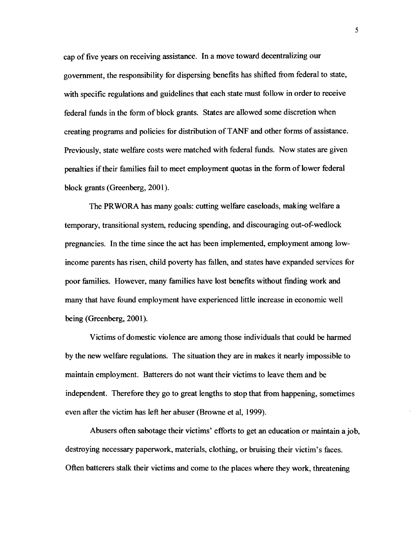cap of five years on receiving assistance. In a move toward decentralizing our government, the responsibility for dispersing benefits has shifted from federal to state, with specific regulations and guidelines that each state must follow in order to receive federal funds in the form of block grants. States are allowed some discretion when creating programs and policies for distribution ofT ANF and other forms of assistance. Previously, state welfare costs were matched with federal funds. Now states are given penalties if their families fail to meet employment quotas in the form of lower federal block grants (Greenberg, 2001).

The PRWORA has many goals: cutting welfare caseloads, making welfare a temporary, transitional system, reducing spending, and discouraging out-of-wedlock pregnancies. In the time since the act has been implemented, employment among lowincome parents has risen, child poverty has fallen, and states have expanded services for poor families. However, many families have lost benefits without finding work and many that have found employment have experienced little increase in economic well being (Greenberg, 2001).

Victims of domestic violence are among those individuals that could be harmed by the new welfare regulations. The situation they are in makes it nearly impossible to maintain employment. Batterers do not want their victims to leave them and be independent. Therefore they go to great lengths to stop that from happening, sometimes even after the victim has left her abuser (Browne et aI, 1999).

Abusers often sabotage their victims' efforts to get an education or maintain a job, destroying necessary paperwork, materials, clothing, or bruising their victim's faces. Often batterers stalk their victims and come to the places where they work, threatening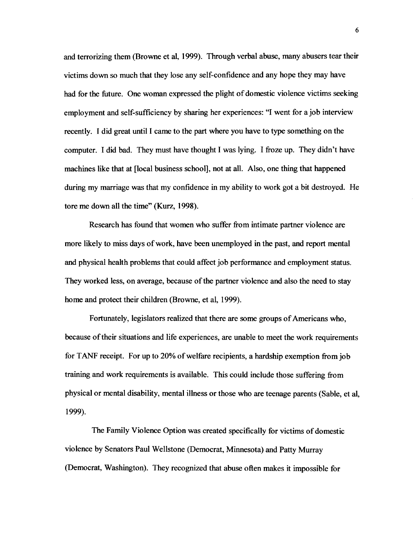and terrorizing them (Browne et al, 1999). Through verbal abuse, many abusers tear their victims down so much that they lose any self-confidence and any hope they may have had for the future. One woman expressed the plight of domestic violence victims seeking employment and self-sufficiency by sharing her experiences: "I went for a job interview recently. 1 did great until 1 came to the part where you have to type something on the computer. 1 did bad. They must have thought 1 was lying. 1 froze up. They didn't have machines like that at [local business school], not at all. Also, one thing that happened during my marriage was that my confidence in my ability to work got a bit destroyed. He tore me down all the time" (Kurz, 1998).

Research has found that women who suffer from intimate partner violence are more likely to miss days of work, have been unemployed in the past, and report mental and physical health problems that could affect job performance and employment status. They worked less, on average, because of the partner violence and also the need to stay home and protect their children (Browne, et aI, 1999).

Fortunately, legislators realized that there are some groups of Americans who, because of their situations and life experiences, are unable to meet the work requirements for TANF receipt. For up to 20% of welfare recipients, a hardship exemption from job training and work requirements is available. This could include those suffering from physical or mental disability, mental illness or those who are teenage parents (Sable, et aI, 1999).

The Family Violence Option was created specifically for victims of domestic violence by Senators Paul Wellstone (Democrat, Minnesota) and Patty Murray (Democrat, Washington). They recognized that abuse often makes it impossible for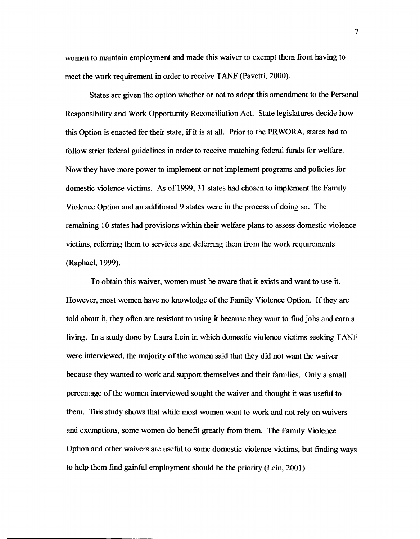women to maintain employment and made this waiver to exempt them from having to meet the work requirement in order to receive TANF (Pavetti, 2000).

States are given the option whether or not to adopt this amendment to the Personal Responsibility and Work Opportunity Reconciliation Act. State legislatures decide how this Option is enacted for their state, if it is at all. Prior to the PRWORA, states had to follow strict federal guidelines in order to receive matching federal funds for welfare. Now they have more power to implement or not implement programs and policies for domestic violence victims. As of 1999, 31 states had chosen to implement the Family Violence Option and an additional 9 states were in the process of doing so. The remaining 10 states had provisions within their welfare plans to assess domestic violence victims, referring them to services and deferring them from the work requirements (Raphael, 1999).

To obtain this waiver, women must be aware that it exists and want to use it. However, most women have no knowledge ofthe Family Violence Option. If they are told about it, they often are resistant to using it because they want to find jobs and earn a living. In a study done by Laura Lein in which domestic violence victims seeking TANF were interviewed, the majority of the women said that they did not want the waiver because they wanted to work and support themselves and their families. Only a small percentage of the women interviewed sought the waiver and thought it was useful to them. This study shows that while most women want to work and not rely on waivers and exemptions, some women do benefit greatly from them. The Family Violence Option and other waivers are useful to some domestic violence victims, but fmding ways to help them fmd gainful employment should be the priority (Lein, 2001).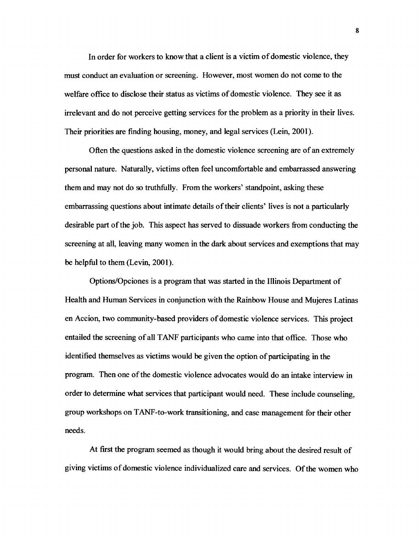In order for workers to know that a client is a victim of domestic violence, they must conduct an evaluation or screening. However, most women do not come to the welfare office to disclose their status as victims of domestic violence. They see it as irrelevant and do not perceive getting services for the problem as a priority in their lives. Their priorities are finding housing, money, and legal services (Lein, 2001).

Often the questions asked in the domestic violence screening are of an extremely personal nature. Naturally, victims often feel uncomfortable and embarrassed answering them and may not do so truthfully. From the workers' standpoint, asking these embarrassing questions about intimate details of their clients' lives is not a particularly desirable part ofthe job. This aspect has served to dissuade workers from conducting the screening at all, leaving many women in the dark about services and exemptions that may be helpful to them (Levin, 2001).

Options/Opciones is a program that was started in the Illinois Department of Health and Human Services in conjunction with the Rainbow House and Mujeres Latinas en Accion, two community-based providers of domestic violence services. This project entailed the screening of all T ANF participants who came into that office. Those who identified themselves as victims would be given the option of participating in the program. Then one ofthe domestic violence advocates would do an intake interview in order to determine what services that participant would need. These include counseling, group workshops on T ANF-to-work transitioning, and case management for their other needs.

At first the program seemed as though it would bring about the desired result of giving victims of domestic violence individualized care and services. Of the women who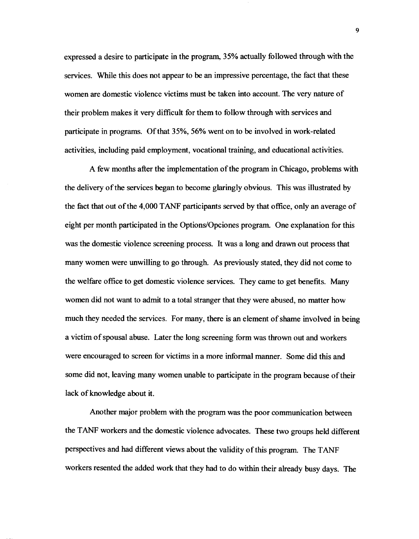expressed a desire to participate in the program, 35% actually followed through with the services. While this does not appear to be an impressive percentage, the fact that these women are domestic violence victims must be taken into account. The very nature of their problem makes it very difficult for them to follow through with services and participate in programs. Of that 35%, 56% went on to be involved in work-related activities, including paid employment, vocational training, and educational activities.

A few months after the implementation of the program in Chicago, problems with the delivery of the services began to become glaringly obvious. This was illustrated by the fact that out of the 4,000 T ANF participants served by that office, only an average of eight per month participated in the Options/Opciones program. One explanation for this was the domestic violence screening process. It was a long and drawn out process that many women were unwilling to go through. As previously stated, they did not come to the welfare office to get domestic violence services. They came to get benefits. Many women did not want to admit to a total stranger that they were abused, no matter how much they needed the services. For many, there is an element of shame involved in being a victim of spousal abuse. Later the long screening form was thrown out and workers were encouraged to screen for victims in a more informal manner. Some did this and some did not, leaving many women unable to participate in the program because oftheir lack of knowledge about it.

Another major problem with the program was the poor communication between the TANF workers and the domestic violence advocates. These two groups held different perspectives and had different views about the validity of this program. The TANF workers resented the added work that they had to do within their already busy days. The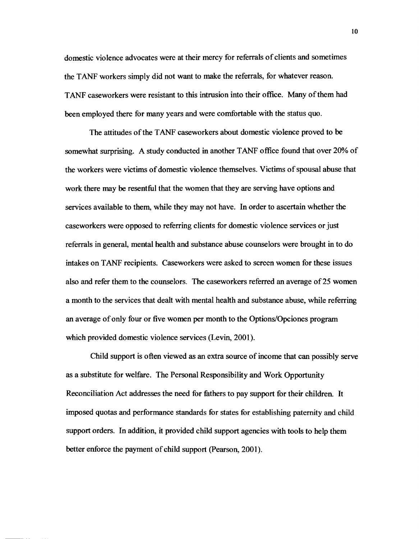domestic violence advocates were at their mercy for referrals of clients and sometimes the TANF workers simply did not want to make the referrals, for whatever reason. TANF caseworkers were resistant to this intrusion into their office. Many of them had been employed there for many years and were comfortable with the status quo.

The attitudes of the TANF caseworkers about domestic violence proved to be somewhat surprising. A study conducted in another TANF office found that over 20% of the workers were victims of domestic violence themselves. Victims of spousal abuse that work there may be resentful that the women that they are serving have options and services available to them, while they may not have. In order to ascertain whether the caseworkers were opposed to referring clients for domestic violence services or just referrals in general, mental health and substance abuse counselors were brought in to do intakes on TANF recipients. Caseworkers were asked to screen women for these issues also and refer them to the counselors. The caseworkers referred an average of25 women a month to the services that dealt with mental health and substance abuse, while referring an average of only four or five women per month to the Options/Opciones program which provided domestic violence services (Levin, 2001).

Child support is often viewed as an extra source of income that can possibly serve as a substitute for welfare. The Personal Responsibility and Work Opportunity Reconciliation Act addresses the need for fathers to pay support for their children. It imposed quotas and performance standards for states for establishing paternity and child support orders. In addition, it provided child support agencies with tools to help them better enforce the payment of child support (Pearson, 2001).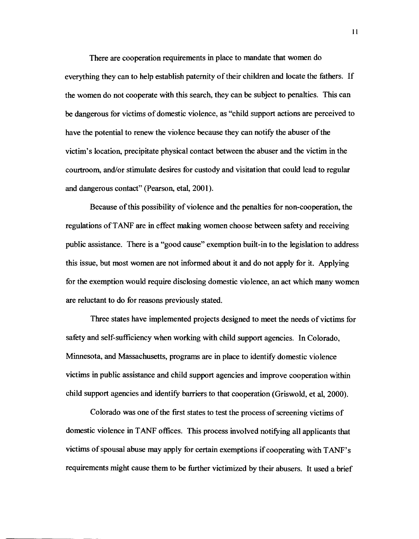There are cooperation requirements in place to mandate that women do everything they can to help establish paternity of their children and locate the fathers. If the women do not cooperate with this search, they can be subject to penalties. This can be dangerous for victims of domestic violence, as "child support actions are perceived to have the potential to renew the violence because they can notify the abuser of the victim's location, precipitate physical contact between the abuser and the victim in the courtroom, and/or stimulate desires for custody and visitation that could lead to regular and dangerous contact" (pearson, etal, 2001).

Because of this possibility of violence and the penalties for non-cooperation, the regulations ofT ANF are in effect making women choose between safety and receiving public assistance. There is a "good cause" exemption built-in to the legislation to address this issue, but most women are not informed about it and do not apply for it. Applying for the exemption would require disclosing domestic violence, an act which many women are reluctant to do for reasons previously stated.

Three states have implemented projects designed to meet the needs of victims for safety and self-sufficiency when working with child support agencies. In Colorado, Minnesota, and Massachusetts, programs are in place to identify domestic violence victims in public assistance and child support agencies and improve cooperation within child support agencies and identify barriers to that cooperation (Griswold, et aI, 2000).

Colorado was one of the first states to test the process of screening victims of domestic violence in TANF offices. This process involved notifying all applicants that victims of spousal abuse may apply for certain exemptions if cooperating with T ANF' s requirements might cause them to be further victimized by their abusers. It used a brief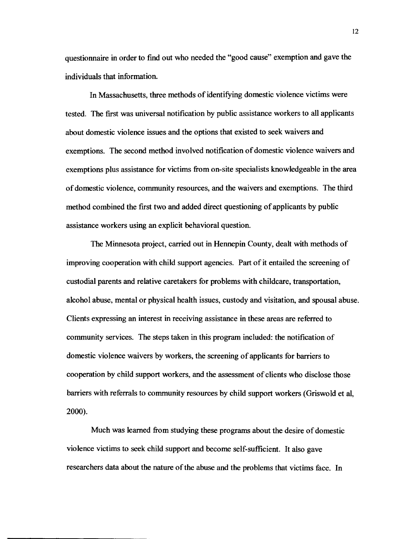questionnaire in order to find out who needed the "good cause" exemption and gave the individuals that information.

In Massachusetts, three methods of identifying domestic violence victims were tested. The first was universal notification by public assistance workers to all applicants about domestic violence issues and the options that existed to seek waivers and exemptions. The second method involved notification of domestic violence waivers and exemptions plus assistance for victims from on-site specialists knowledgeable in the area of domestic violence, community resources, and the waivers and exemptions. The third method combined the first two and added direct questioning of applicants by public assistance workers using an explicit behavioral question.

The Minnesota project, carried out in Hennepin County, dealt with methods of improving cooperation with child support agencies. Part of it entailed the screening of custodial parents and relative caretakers for problems with childcare, transportation, alcohol abuse, mental or physical health issues, custody and visitation, and spousal abuse. Clients expressing an interest in receiving assistance in these areas are referred to community services. The steps taken in this program included: the notification of domestic violence waivers by workers, the screening of applicants for barriers to cooperation by child support workers, and the assessment of clients who disclose those barriers with referrals to community resources by child support workers (Griswold et al, 2000).

Much was learned from studying these programs about the desire of domestic violence victims to seek child support and become self-sufficient. It also gave researchers data about the nature of the abuse and the problems that victims face. In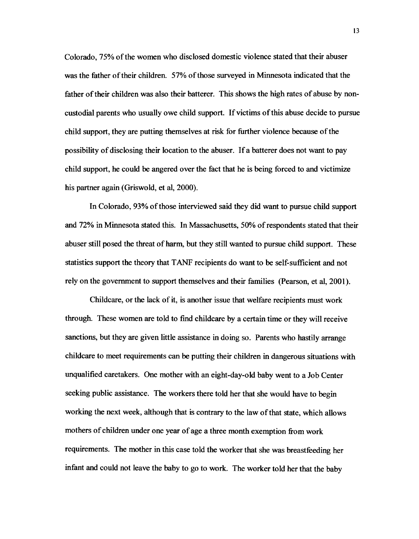Colorado, 75% of the women who disclosed domestic violence stated that their abuser was the father of their children. 57% of those surveyed in Minnesota indicated that the father of their children was also their batterer. This shows the high rates of abuse by noncustodial parents who usually owe child support. Ifvictims of this abuse decide to pursue child support, they are putting themselves at risk for further violence because of the possibility of disclosing their location to the abuser. If a batterer does not want to pay child support, he could be angered over the fact that he is being forced to and victimize his partner again (Griswold, et al, 2000).

In Colorado, 93% of those interviewed said they did want to pursue child support and 72% in Minnesota stated this. In Massachusetts, 50% of respondents stated that their abuser still posed the threat of harm, but they still wanted to pursue child support. These statistics support the theory that TANF recipients do want to be self-sufficient and not rely on the government to support themselves and their families (Pearson, et al, 2001).

Childcare, or the lack of it, is another issue that welfare recipients must work through. These women are told to find childcare by a certain time or they will receive sanctions, but they are given little assistance in doing so. Parents who hastily arrange childcare to meet requirements can be putting their children in dangerous situations with unqualified caretakers. One mother with an eight-day-old baby went to a Job Center seeking public assistance. The workers there told her that she would have to begin working the next week, although that is contrary to the law of that state, which allows mothers of children under one year of age a three month exemption from work requirements. The mother in this case told the worker that she was breastfeeding her infant and could not leave the baby to go to work. The worker told her that the baby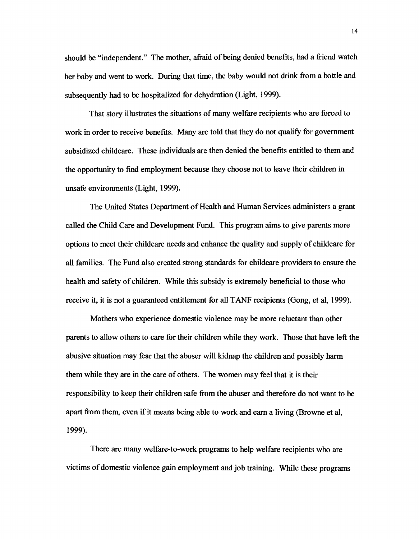should be "independent." The mother, afraid of being denied benefits, had a friend watch her baby and went to work. During that time, the baby would not drink from a bottle and subsequently had to be hospitalized for dehydration (Light, 1999).

That story illustrates the situations of many welfare recipients who are forced to work in order to receive benefits. Many are told that they do not qualify for government subsidized childcare. These individuals are then denied the benefits entitled to them and the opportunity to find employment because they choose not to leave their children in unsafe environments (Light, 1999).

The United States Department of Health and Human Services administers a grant called the Child Care and Development Fund. This program aims to give parents more options to meet their childcare needs and enhance the quality and supply of childcare for all families. The Fund also created strong standards for childcare providers to ensure the health and safety of children. While this subsidy is extremely beneficial to those who receive it, it is not a guaranteed entitlement for all TANF recipients (Gong, et aI, 1999).

Mothers who experience domestic violence may be more reluctant than other parents to allow others to care for their children while they work. Those that have left the abusive situation may fear that the abuser will kidnap the children and possibly harm them while they are in the care of others. The women may feel that it is their responsibility to keep their children safe from the abuser and therefore do not want to be apart from them, even if it means being able to work and earn a living (Browne et aI, 1999).

There are many welfare-to-work programs to help welfare recipients who are victims of domestic violence gain employment and job training. While these programs

14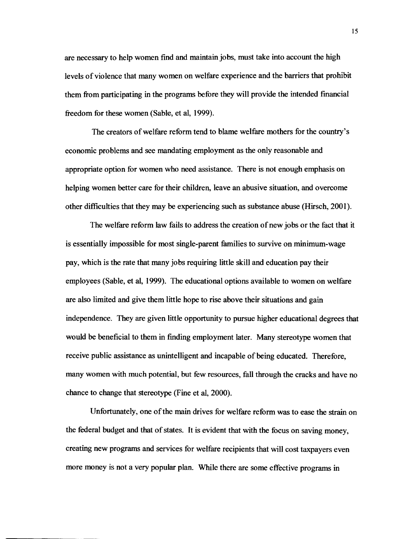are necessary to help women find and maintain jobs, must take into account the high levels of violence that many women on welfare experience and the barriers that prohibit them from participating in the programs before they will provide the intended fmancial freedom for these women (Sable, et ai, 1999).

The creators of welfare reform tend to blame welfare mothers for the country's economic problems and see mandating employment as the only reasonable and appropriate option for women who need assistance. There is not enough emphasis on helping women better care for their children, leave an abusive situation, and overcome other difficulties that they may be experiencing such as substance abuse (Hirsch, 2001).

The welfare reform law fails to address the creation of new jobs or the fact that it is essentially impossible for most single-parent families to survive on minimum-wage pay, which is the rate that many jobs requiring little skill and education pay their employees (Sable, et ai, 1999). The educational options available to women on welfare are also limited and give them little hope to rise above their situations and gain independence. They are given little opportunity to pursue higher educational degrees that would be beneficial to them in finding employment later. Many stereotype women that receive public assistance as unintelligent and incapable of being educated. Therefore, many women with much potential, but few resources, fall through the cracks and have no chance to change that stereotype (Fine et ai, 2000).

Unfortunately, one of the main drives for welfare reform was to ease the strain on the federal budget and that of states. It is evident that with the focus on saving money, creating new programs and services for welfare recipients that will cost taxpayers even more money is not a very popular plan. While there are some effective programs in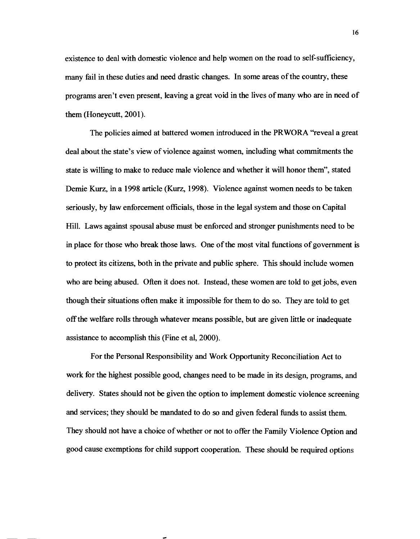existence to deal with domestic violence and help women on the road to self-sufficiency, many fail in these duties and need drastic changes. In some areas of the country, these programs aren't even present, leaving a great void in the lives of many who are in need of them (Honeycutt, 2001).

The policies aimed at battered women introduced in the PRWORA "reveal a great deal about the state's view of violence against women, including what commitments the state is willing to make to reduce male violence and whether it will honor them", stated Demie Kurz, in a 1998 article (Kurz, 1998). Violence against women needs to be taken seriously, by law enforcement officials, those in the legal system and those on Capital Hill. Laws against spousal abuse must be enforced and stronger punishments need to be in place for those who break those laws. One of the most vital functions of government is to protect its citizens, both in the private and public sphere. This should include women who are being abused. Often it does not. Instead, these women are told to get jobs, even though their situations often make it impossible for them to do so. They are told to get off the welfare rolls through whatever means possible, but are given little or inadequate assistance to accomplish this (Fine et a1, 2000).

For the Personal Responsibility and Work Opportunity Reconciliation Act to work for the highest possible good, changes need to be made in its design, programs, and delivery. States should not be given the option to implement domestic violence screening and services; they should be mandated to do so and given federal funds to assist them. They should not have a choice of whether or not to offer the Family Violence Option and good cause exemptions for child support cooperation. These should be required options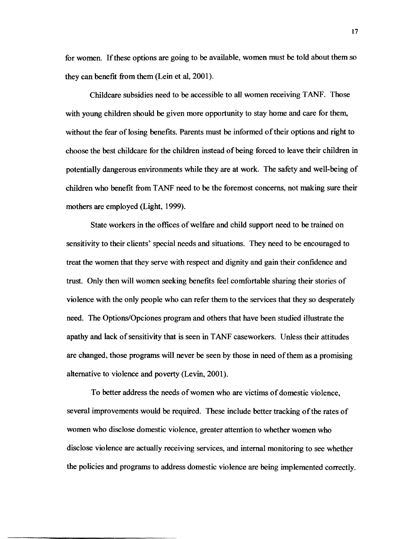for women. If these options are going to be available, women must be told about them so they can benefit from them (Lein et al, 2001).

Childcare subsidies need to be accessible to all women receiving TANF. Those with young children should be given more opportunity to stay home and care for them, without the fear of losing benefits. Parents must be informed of their options and right to choose the best childcare for the children instead of being forced to leave their children in potentially dangerous environments while they are at work. The safety and well-being of children who benefit from T ANF need to be the foremost concerns, not making sure their mothers are employed (Light, 1999).

State workers in the offices of welfare and child support need to be trained on sensitivity to their clients' special needs and situations. They need to be encouraged to treat the women that they serve with respect and dignity and gain their confidence and trust. Only then will women seeking benefits feel comfortable sharing their stories of violence with the only people who can refer them to the services that they so desperately need. The Options/Opciones program and others that have been studied illustrate the apathy and lack of sensitivity that is seen in T ANF caseworkers. Unless their attitudes are changed, those programs will never be seen by those in need of them as a promising alternative to violence and poverty (Levin, 2001).

To better address the needs of women who are victims of domestic violence, several improvements would be required. These include better tracking of the rates of women who disclose domestic violence, greater attention to whether women who disclose violence are actually receiving services, and internal monitoring to see whether the policies and programs to address domestic violence are being implemented correctly.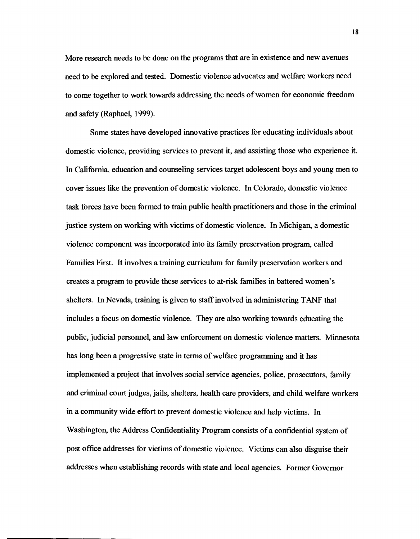More research needs to be done on the programs that are in existence and new avenues need to be explored and tested. Domestic violence advocates and welfare workers need to come together to work towards addressing the needs of women for economic freedom and safety (Raphael, 1999).

Some states have developed innovative practices for educating individuals about domestic violence, providing services to prevent it, and assisting those who experience it. In California, education and counseling services target adolescent boys and young men to cover issues like the prevention of domestic violence. In Colorado, domestic violence task forces have been formed to train public health practitioners and those in the criminal justice system on working with victims of domestic violence. In Michigan, a domestic violence component was incorporated into its family preservation program, called Families First. It involves a training curriculum for family preservation workers and creates a program to provide these services to at-risk families in battered women's shelters. In Nevada, training is given to staff involved in administering TANF that includes a focus on domestic violence. They are also working towards educating the public, judicial personneL and law enforcement on domestic violence matters. Minnesota has long been a progressive state in terms of welfare programming and it has implemented a project that involves social service agencies, police, prosecutors, family and criminal court judges, jails, shelters, health care providers, and child welfare workers in a community wide effort to prevent domestic violence and help victims. In Washington, the Address Confidentiality Program consists of a confidential system of post office addresses for victims of domestic violence. Victims can also disguise their addresses when establishing records with state and local agencies. Former Governor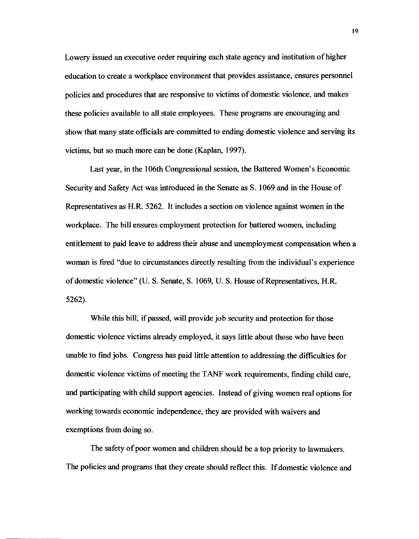Lowery issued an executive order requiring each state agency and institution of higher education to create a workplace environment that provides assistance, ensures personnel policies and procedures that are responsive to victims of domestic violence, and makes these policies available to all state employees. These programs are encouraging and show that many state officials are committed to ending domestic violence and serving its victims, but so much more can be done (Kaplan, 1997).

Last year, in the 106th Congressional session, the Battered Women's Economic Security and Safety Act was introduced in the Senate as S. 1069 and in the House of Representatives as H.R. 5262. It includes a section on violence against women in the workplace. The bill ensures employment protection for battered women, including entitlement to paid leave to address their abuse and unemployment compensation when a woman is fired "due to circumstances directly resulting from the individual's experience of domestic violence" (U. S. Senate, S. 1069, U. S. House of Representatives, H.R. 5262).

While this bill, if passed, will provide job security and protection for those domestic violence victims already employed, it says little about those who have been unable to find jobs. Congress has paid little attention to addressing the difficulties for domestic violence victims of meeting the TANF work requirements, finding child care, and participating with child support agencies. Instead of giving women real options for working towards economic independence, they are provided with waivers and exemptions from doing so.

The safety of poor women and children should be a top priority to lawmakers. The policies and programs that they create should reflect this. If domestic violence and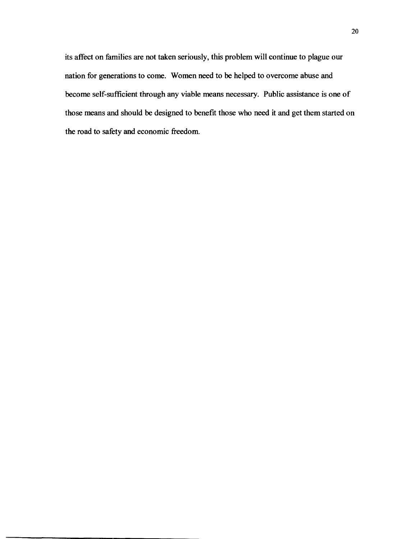its affect on families are not taken seriously, this problem will continue to plague our nation for generations to come. Women need to be helped to overcome abuse and become self-sufficient through any viable means necessary. Public assistance is one of those means and should be designed to benefit those who need it and get them started on the road to safety and economic freedom.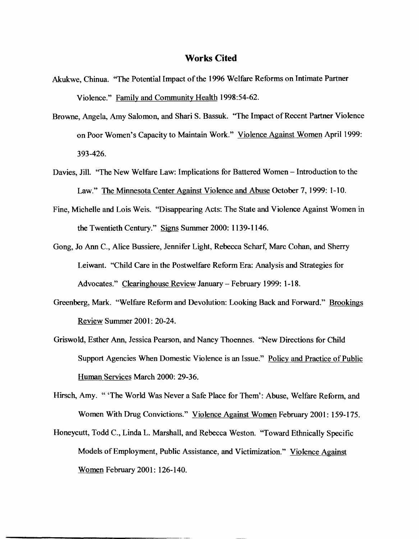#### **Works Cited**

- Akukwe, Chinua. "The Potential Impact of the 1996 Welfare Reforms on Intimate Partner Violence." Family and Community Health 1998:54-62.
- Browne, Angela, Amy Salomon, and Shari S. Bassuk. "The Impact of Recent Partner Violence on Poor Women's Capacity to Maintain Work." Violence Against Women April 1999: 393-426.
- Davies, Jill. "The New Welfare Law: Implications for Battered Women Introduction to the Law." The Minnesota Center Against Violence and Abuse October 7, 1999: 1-10.
- Fine, Michelle and Lois Weis. "Disappearing Acts: The State and Violence Against Women in the Twentieth Century." Signs Summer 2000: 1139-1146.
- Gong, Jo Ann C., Alice Bussiere, Jennifer Light, Rebecca Scharf, Marc Cohan, and Sherry Leiwant. ''Child Care in the Postwelfare Reform Era: Analysis and Strategies for Advocates." Clearinghouse Review January - February 1999: 1-18.
- Greenberg, Mark. "Welfare Reform and Devolution: Looking Back and Forward." Brookings Review Summer 2001: 20-24.
- Griswold, Esther Ann, Jessica Pearson, and Nancy Thoennes. "New Directions for Child Support Agencies When Domestic Violence is an Issue." Policy and Practice of Public Human Services March 2000: 29-36.
- Hirsch, Amy. "'The World Was Never a Safe Place for Them': Abuse, Welfare Reform, and Women With Drug Convictions." Violence Against Women February 2001: 159-175.
- Honeycutt, Todd C., Linda L. Marshall, and Rebecca Weston. "Toward Ethnically Specific Models of Employment, Public Assistance, and Victimization." Violence Against Women February 2001: 126-140.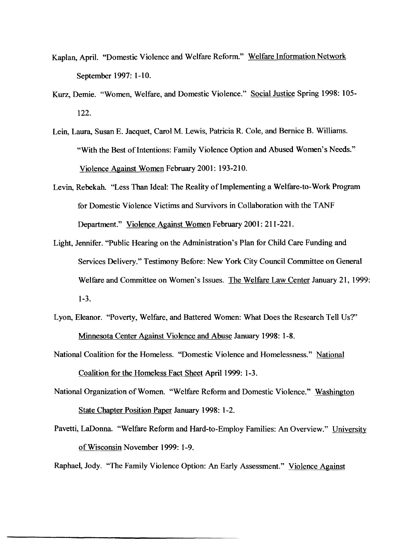- Kaplan, April. "Domestic Violence and Welfare Reform." Welfare Information Network September 1997: 1-10.
- Kurz, Demie. "Women, Welfare, and Domestic Violence." Social Justice Spring 1998: 105- 122.
- Lein, Laura, Susan E. Jacquet, Carol M. Lewis, Patricia R. Cole, and Bernice B. Williams. "With the Best of Intentions: Family Violence Option and Abused Women's Needs." Violence Against Women February 2001: 193-210.
- Levin, Rebekah. "Less Than Ideal: The Reality of Implementing a Welfare-to-Work Program for Domestic Violence Victims and Survivors in Collaboration with the T ANF Department." Violence Against Women February 2001: 211-221.
- Light, Jennifer. "Public Hearing on the Administration's Plan for Child Care Funding and Services Delivery." Testimony Before: New York City Council Committee on General Welfare and Committee on Women's Issues. The Welfare Law Center January 21, 1999: 1-3.
- Lyon, Eleanor. "Poverty, Welfare, and Battered Women: What Does the Research Tell Us?" Minnesota Center Against Violence and Abuse January 1998: 1-8.

National Coalition for the Homeless. "Domestic Violence and Homelessness." National Coalition for the Homeless Fact Sheet April 1999: 1-3.

National Organization of Women. "Welfare Reform and Domestic Violence." Washington State Chapter Position Paper January 1998: 1-2.

Pavetti, LaDonna. "Welfare Reform and Hard-to-Employ Families: An Overview." University of Wisconsin November 1999: 1-9.

Raphael, Jody. "The Family Violence Option: An Early Assessment." Violence Against